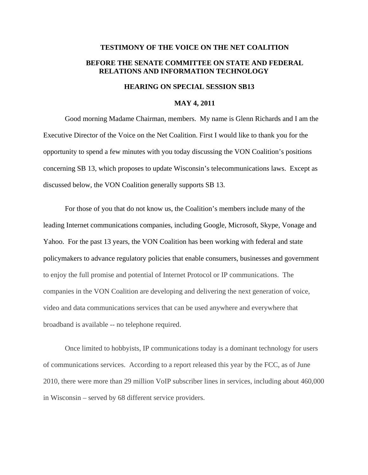## **TESTIMONY OF THE VOICE ON THE NET COALITION BEFORE THE SENATE COMMITTEE ON STATE AND FEDERAL RELATIONS AND INFORMATION TECHNOLOGY**

## **HEARING ON SPECIAL SESSION SB13**

## **MAY 4, 2011**

Good morning Madame Chairman, members. My name is Glenn Richards and I am the Executive Director of the Voice on the Net Coalition. First I would like to thank you for the opportunity to spend a few minutes with you today discussing the VON Coalition's positions concerning SB 13, which proposes to update Wisconsin's telecommunications laws. Except as discussed below, the VON Coalition generally supports SB 13.

For those of you that do not know us, the Coalition's members include many of the leading Internet communications companies, including Google, Microsoft, Skype, Vonage and Yahoo. For the past 13 years, the VON Coalition has been working with federal and state policymakers to advance regulatory policies that enable consumers, businesses and government to enjoy the full promise and potential of Internet Protocol or IP communications. The companies in the VON Coalition are developing and delivering the next generation of voice, video and data communications services that can be used anywhere and everywhere that broadband is available -- no telephone required.

Once limited to hobbyists, IP communications today is a dominant technology for users of communications services. According to a report released this year by the FCC, as of June 2010, there were more than 29 million VoIP subscriber lines in services, including about 460,000 in Wisconsin – served by 68 different service providers.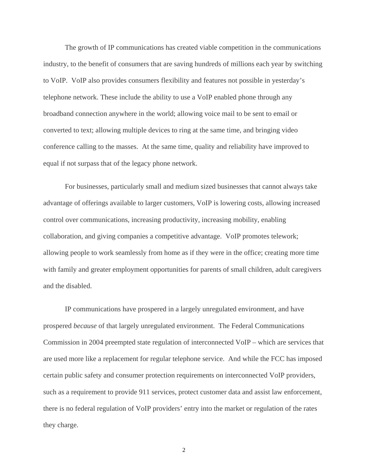The growth of IP communications has created viable competition in the communications industry, to the benefit of consumers that are saving hundreds of millions each year by switching to VoIP. VoIP also provides consumers flexibility and features not possible in yesterday's telephone network. These include the ability to use a VoIP enabled phone through any broadband connection anywhere in the world; allowing voice mail to be sent to email or converted to text; allowing multiple devices to ring at the same time, and bringing video conference calling to the masses. At the same time, quality and reliability have improved to equal if not surpass that of the legacy phone network.

 For businesses, particularly small and medium sized businesses that cannot always take advantage of offerings available to larger customers, VoIP is lowering costs, allowing increased control over communications, increasing productivity, increasing mobility, enabling collaboration, and giving companies a competitive advantage. VoIP promotes telework; allowing people to work seamlessly from home as if they were in the office; creating more time with family and greater employment opportunities for parents of small children, adult caregivers and the disabled.

IP communications have prospered in a largely unregulated environment, and have prospered *because* of that largely unregulated environment. The Federal Communications Commission in 2004 preempted state regulation of interconnected VoIP – which are services that are used more like a replacement for regular telephone service. And while the FCC has imposed certain public safety and consumer protection requirements on interconnected VoIP providers, such as a requirement to provide 911 services, protect customer data and assist law enforcement, there is no federal regulation of VoIP providers' entry into the market or regulation of the rates they charge.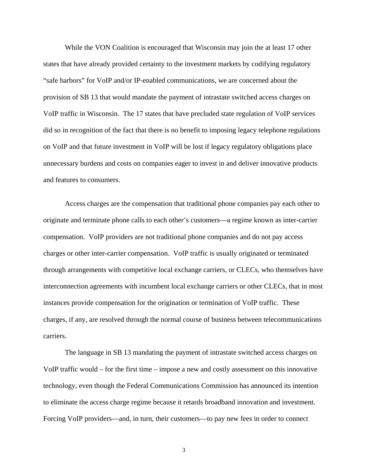While the VON Coalition is encouraged that Wisconsin may join the at least 17 other states that have already provided certainty to the investment markets by codifying regulatory "safe harbors" for VoIP and/or IP-enabled communications, we are concerned about the provision of SB 13 that would mandate the payment of intrastate switched access charges on VoIP traffic in Wisconsin. The 17 states that have precluded state regulation of VoIP services did so in recognition of the fact that there is no benefit to imposing legacy telephone regulations on VoIP and that future investment in VoIP will be lost if legacy regulatory obligations place unnecessary burdens and costs on companies eager to invest in and deliver innovative products and features to consumers.

Access charges are the compensation that traditional phone companies pay each other to originate and terminate phone calls to each other's customers—a regime known as inter-carrier compensation. VoIP providers are not traditional phone companies and do not pay access charges or other inter-carrier compensation. VoIP traffic is usually originated or terminated through arrangements with competitive local exchange carriers, or CLECs, who themselves have interconnection agreements with incumbent local exchange carriers or other CLECs, that in most instances provide compensation for the origination or termination of VoIP traffic. These charges, if any, are resolved through the normal course of business between telecommunications carriers.

The language in SB 13 mandating the payment of intrastate switched access charges on VoIP traffic would – for the first time – impose a new and costly assessment on this innovative technology, even though the Federal Communications Commission has announced its intention to eliminate the access charge regime because it retards broadband innovation and investment. Forcing VoIP providers—and, in turn, their customers—to pay new fees in order to connect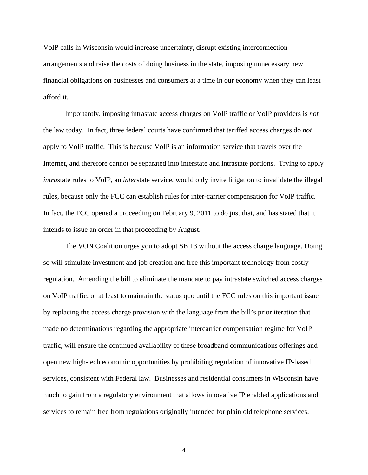VoIP calls in Wisconsin would increase uncertainty, disrupt existing interconnection arrangements and raise the costs of doing business in the state, imposing unnecessary new financial obligations on businesses and consumers at a time in our economy when they can least afford it.

 Importantly, imposing intrastate access charges on VoIP traffic or VoIP providers is *not* the law today. In fact, three federal courts have confirmed that tariffed access charges do *not*  apply to VoIP traffic. This is because VoIP is an information service that travels over the Internet, and therefore cannot be separated into interstate and intrastate portions. Trying to apply *intra*state rules to VoIP, an *inter*state service, would only invite litigation to invalidate the illegal rules, because only the FCC can establish rules for inter-carrier compensation for VoIP traffic. In fact, the FCC opened a proceeding on February 9, 2011 to do just that, and has stated that it intends to issue an order in that proceeding by August.

 The VON Coalition urges you to adopt SB 13 without the access charge language. Doing so will stimulate investment and job creation and free this important technology from costly regulation. Amending the bill to eliminate the mandate to pay intrastate switched access charges on VoIP traffic, or at least to maintain the status quo until the FCC rules on this important issue by replacing the access charge provision with the language from the bill's prior iteration that made no determinations regarding the appropriate intercarrier compensation regime for VoIP traffic, will ensure the continued availability of these broadband communications offerings and open new high-tech economic opportunities by prohibiting regulation of innovative IP-based services, consistent with Federal law. Businesses and residential consumers in Wisconsin have much to gain from a regulatory environment that allows innovative IP enabled applications and services to remain free from regulations originally intended for plain old telephone services.